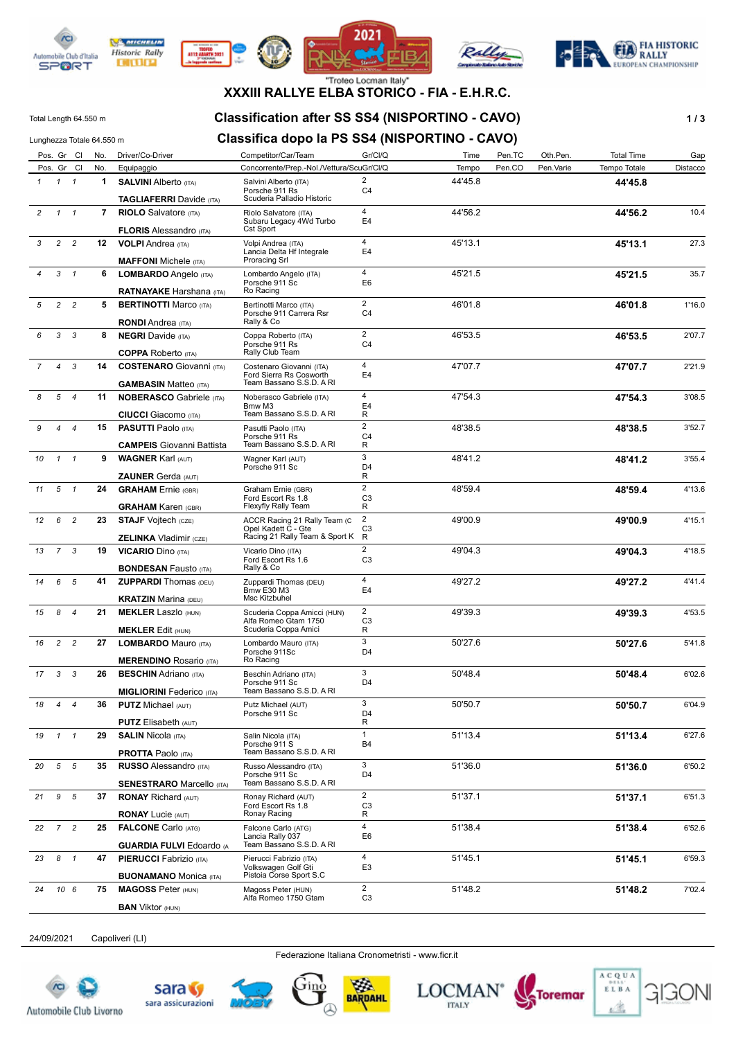

**DITURN** 









# **XXXIII RALLYE ELBA STORICO - FIA - E.H.R.C.**

#### Total Length 64.550 m **Classification after SS SS4 (NISPORTINO - CAVO) 1 / 3**

### Lunghezza Totale 64.550 m **Classifica dopo la PS SS4 (NISPORTINO - CAVO)**

|                |                 | Pos. Gr Cl     | No.         | Driver/Co-Driver                                                | Competitor/Car/Team                                                             | Gr/Cl/Q                          | Time    | Pen.TC | Oth.Pen.  | <b>Total Time</b> | Gap      |
|----------------|-----------------|----------------|-------------|-----------------------------------------------------------------|---------------------------------------------------------------------------------|----------------------------------|---------|--------|-----------|-------------------|----------|
|                |                 | Pos. Gr Cl     | No.         | Equipaggio                                                      | Concorrente/Prep.-Nol./Vettura/ScuGr/CI/Q                                       |                                  | Tempo   | Pen.CO | Pen.Varie | Tempo Totale      | Distacco |
| $\mathcal{I}$  |                 | $1 \quad 1$    | 1           | <b>SALVINI Alberto (ITA)</b>                                    | Salvini Alberto (ITA)<br>Porsche 911 Rs                                         | $\overline{2}$<br>C <sub>4</sub> | 44'45.8 |        |           | 44'45.8           |          |
|                |                 |                |             | <b>TAGLIAFERRI</b> Davide (ITA)                                 | Scuderia Palladio Historic                                                      |                                  |         |        |           |                   |          |
| $\overline{c}$ | $\mathcal{I}$   | $\mathbf{1}$   | $7^{\circ}$ | <b>RIOLO</b> Salvatore (ITA)                                    | Riolo Salvatore (ITA)                                                           | $\overline{4}$                   | 44'56.2 |        |           | 44'56.2           | 10.4     |
|                |                 |                |             | <b>FLORIS Alessandro (ITA)</b>                                  | Subaru Legacy 4Wd Turbo<br>Cst Sport                                            | E <sub>4</sub>                   |         |        |           |                   |          |
| 3              | $\overline{c}$  | $\overline{c}$ |             | 12 VOLPI Andrea (ITA)                                           | Volpi Andrea (ITA)                                                              | $\overline{4}$                   | 45'13.1 |        |           | 45'13.1           | 27.3     |
|                |                 |                |             |                                                                 | Lancia Delta Hf Integrale<br>Proracing Srl                                      | E4                               |         |        |           |                   |          |
| 4              | 3               | $\mathbf{1}$   |             | <b>MAFFONI</b> Michele (ITA)                                    |                                                                                 | $\overline{4}$                   |         |        |           |                   |          |
|                |                 |                | 6           | LOMBARDO Angelo (ITA)                                           | Lombardo Angelo (ITA)<br>Porsche 911 Sc                                         | E <sub>6</sub>                   | 45'21.5 |        |           | 45'21.5           | 35.7     |
|                |                 |                |             | <b>RATNAYAKE Harshana</b> (ITA)                                 | Ro Racing                                                                       |                                  |         |        |           |                   |          |
| 5              | $\overline{c}$  | $\overline{c}$ | 5           | <b>BERTINOTTI Marco (ITA)</b><br><b>RONDI</b> Andrea (ITA)      | Bertinotti Marco (ITA)<br>Porsche 911 Carrera Rsr<br>Rally & Co                 | $\overline{2}$<br>C <sub>4</sub> | 46'01.8 |        |           | 46'01.8           | 1'16.0   |
| 6              | 3               | 3              | 8           | <b>NEGRI</b> Davide (ITA)                                       | Coppa Roberto (ITA)                                                             | $\overline{2}$                   | 46'53.5 |        |           | 46'53.5           | 2'07.7   |
|                |                 |                |             |                                                                 | Porsche 911 Rs                                                                  | C <sub>4</sub>                   |         |        |           |                   |          |
|                |                 |                |             | <b>COPPA</b> Roberto (ITA)                                      | Rally Club Team                                                                 |                                  |         |        |           |                   |          |
| $\overline{7}$ | 4               | 3              | 14          | <b>COSTENARO</b> Giovanni (ITA)<br><b>GAMBASIN Matteo (ITA)</b> | Costenaro Giovanni (ITA)<br>Ford Sierra Rs Cosworth<br>Team Bassano S.S.D. A RI | $\overline{4}$<br>E <sub>4</sub> | 47'07.7 |        |           | 47'07.7           | 2'21.9   |
| 8              | 5               | $\overline{4}$ | 11          | <b>NOBERASCO Gabriele (ITA)</b>                                 | Noberasco Gabriele (ITA)                                                        | $\overline{4}$                   | 47'54.3 |        |           | 47'54.3           | 3'08.5   |
|                |                 |                |             |                                                                 | Bmw M3                                                                          | E4                               |         |        |           |                   |          |
|                |                 |                |             | <b>CIUCCI</b> Giacomo (ITA)                                     | Team Bassano S.S.D. A RI                                                        | R<br>$\overline{2}$              |         |        |           |                   |          |
| 9              | 4               | 4              | 15          | <b>PASUTTI Paolo (ITA)</b>                                      | Pasutti Paolo (ITA)<br>Porsche 911 Rs                                           | C <sub>4</sub>                   | 48'38.5 |        |           | 48'38.5           | 3'52.7   |
|                |                 |                |             | <b>CAMPEIS</b> Giovanni Battista                                | Team Bassano S.S.D. A RI                                                        | R                                |         |        |           |                   |          |
| 10             | $\mathbf{1}$    | $\mathbf{1}$   | 9           | <b>WAGNER Karl (AUT)</b>                                        | Wagner Karl (AUT)<br>Porsche 911 Sc                                             | 3<br>D <sub>4</sub>              | 48'41.2 |        |           | 48'41.2           | 3'55.4   |
|                |                 |                |             | <b>ZAUNER Gerda (AUT)</b>                                       |                                                                                 | R                                |         |        |           |                   |          |
| 11             | 5               | $\mathbf{1}$   | 24          | <b>GRAHAM</b> Ernie (GBR)                                       | Graham Ernie (GBR)                                                              | $\overline{2}$                   | 48'59.4 |        |           | 48'59.4           | 4'13.6   |
|                |                 |                |             | <b>GRAHAM Karen (GBR)</b>                                       | Ford Escort Rs 1.8<br>Flexyfly Rally Team                                       | C <sub>3</sub><br>R              |         |        |           |                   |          |
| 12             | 6               | $\overline{c}$ | 23          | <b>STAJF Vojtech (CZE)</b>                                      | ACCR Racing 21 Rally Team (C                                                    | $\overline{2}$                   | 49'00.9 |        |           | 49'00.9           | 4'15.1   |
|                |                 |                |             | <b>ZELINKA Vladimir (CZE)</b>                                   | Opel Kadett C - Gte<br>Racing 21 Rally Team & Sport K                           | C <sub>3</sub><br>R              |         |        |           |                   |          |
| 13             | $7^{\circ}$     | 3              | 19          | <b>VICARIO Dino (ITA)</b>                                       | Vicario Dino (ITA)                                                              | $\overline{2}$                   | 49'04.3 |        |           | 49'04.3           | 4'18.5   |
|                |                 |                |             |                                                                 | Ford Escort Rs 1.6                                                              | C <sub>3</sub>                   |         |        |           |                   |          |
|                |                 |                |             | <b>BONDESAN Fausto (ITA)</b>                                    | Rally & Co                                                                      |                                  |         |        |           |                   |          |
| 14             | 6               | 5              | 41          | <b>ZUPPARDI</b> Thomas (DEU)                                    | Zuppardi Thomas (DEU)<br><b>Bmw E30 M3</b>                                      | $\overline{4}$<br>E <sub>4</sub> | 49'27.2 |        |           | 49'27.2           | 4'41.4   |
|                |                 |                |             | <b>KRATZIN Marina (DEU)</b>                                     | Msc Kitzbuhel                                                                   |                                  |         |        |           |                   |          |
| 15             | 8               | $\overline{4}$ | 21          | <b>MEKLER Laszlo (HUN)</b>                                      | Scuderia Coppa Amicci (HUN)<br>Alfa Romeo Gtam 1750                             | $\overline{2}$<br>C <sub>3</sub> | 49'39.3 |        |           | 49'39.3           | 4'53.5   |
|                |                 |                |             | <b>MEKLER Edit (HUN)</b>                                        | Scuderia Coppa Amici                                                            | R                                |         |        |           |                   |          |
| 16             | $\overline{c}$  | $\overline{c}$ | 27          | <b>LOMBARDO</b> Mauro (ITA)                                     | Lombardo Mauro (ITA)<br>Porsche 911Sc                                           | 3                                | 50'27.6 |        |           | 50'27.6           | 5'41.8   |
|                |                 |                |             | <b>MERENDINO</b> Rosario (ITA)                                  | Ro Racing                                                                       | D <sub>4</sub>                   |         |        |           |                   |          |
| 17             | 3               | 3              | 26          | <b>BESCHIN</b> Adriano (ITA)                                    | Beschin Adriano (ITA)                                                           | 3                                | 50'48.4 |        |           | 50'48.4           | 6'02.6   |
|                |                 |                |             | <b>MIGLIORINI Federico</b> (ITA)                                | Porsche 911 Sc<br>Team Bassano S.S.D. A RI                                      | D <sub>4</sub>                   |         |        |           |                   |          |
| 18             | $\overline{4}$  | 4              | 36          | <b>PUTZ Michael (AUT)</b>                                       | Putz Michael (AUT)                                                              | 3                                | 50'50.7 |        |           | 50'50.7           | 6'04.9   |
|                |                 |                |             | <b>PUTZ Elisabeth (AUT)</b>                                     | Porsche 911 Sc                                                                  | D4                               |         |        |           |                   |          |
| 19             | $1 \quad 1$     |                | 29          | <b>SALIN Nicola (ITA)</b>                                       | Salin Nicola (ITA)                                                              | R<br>$\mathbf{1}$                | 51'13.4 |        |           |                   | 6'27.6   |
|                |                 |                |             | <b>PROTTA Paolo (ITA)</b>                                       | Porsche 911 S<br>Team Bassano S.S.D. A RI                                       | B4                               |         |        |           | 51'13.4           |          |
| 20             | 5 5             |                | 35          | <b>RUSSO Alessandro (ITA)</b>                                   | Russo Alessandro (ITA)                                                          | 3                                | 51'36.0 |        |           | 51'36.0           | 6'50.2   |
|                |                 |                |             | <b>SENESTRARO</b> Marcello (ITA)                                | Porsche 911 Sc<br>Team Bassano S.S.D. A RI                                      | D <sub>4</sub>                   |         |        |           |                   |          |
| 21             | 9               | 5              | 37          | <b>RONAY Richard (AUT)</b>                                      | Ronay Richard (AUT)                                                             | $\overline{2}$                   | 51'37.1 |        |           | 51'37.1           | 6'51.3   |
|                |                 |                |             | <b>RONAY Lucie (AUT)</b>                                        | Ford Escort Rs 1.8<br>Ronay Racing                                              | C <sub>3</sub><br>R              |         |        |           |                   |          |
| 22             | $7\overline{ }$ | $\overline{c}$ | 25          | <b>FALCONE Carlo (ATG)</b>                                      | Falcone Carlo (ATG)                                                             | $\overline{4}$                   | 51'38.4 |        |           | 51'38.4           | 6'52.6   |
|                |                 |                |             | <b>GUARDIA FULVI Edoardo (A</b>                                 | Lancia Rally 037<br>Team Bassano S.S.D. A RI                                    | E6                               |         |        |           |                   |          |
| 23             | 8 1             |                | 47          | <b>PIERUCCI</b> Fabrizio (ITA)                                  | Pierucci Fabrizio (ITA)                                                         | 4                                | 51'45.1 |        |           | 51'45.1           | 6'59.3   |
|                |                 |                |             | <b>BUONAMANO</b> Monica (ITA)                                   | Volkswagen Golf Gti<br>Pistoia Corse Sport S.C                                  | E <sub>3</sub>                   |         |        |           |                   |          |
| 24             |                 | 10 6           | 75          | <b>MAGOSS Peter (HUN)</b>                                       | Magoss Peter (HUN)                                                              | $\overline{2}$                   | 51'48.2 |        |           | 51'48.2           | 7'02.4   |
|                |                 |                |             | <b>BAN</b> Viktor (HUN)                                         | Alfa Romeo 1750 Gtam                                                            | C <sub>3</sub>                   |         |        |           |                   |          |

24/09/2021 Capoliveri (LI)

Federazione Italiana Cronometristi - www.ficr.it







BARDAHL





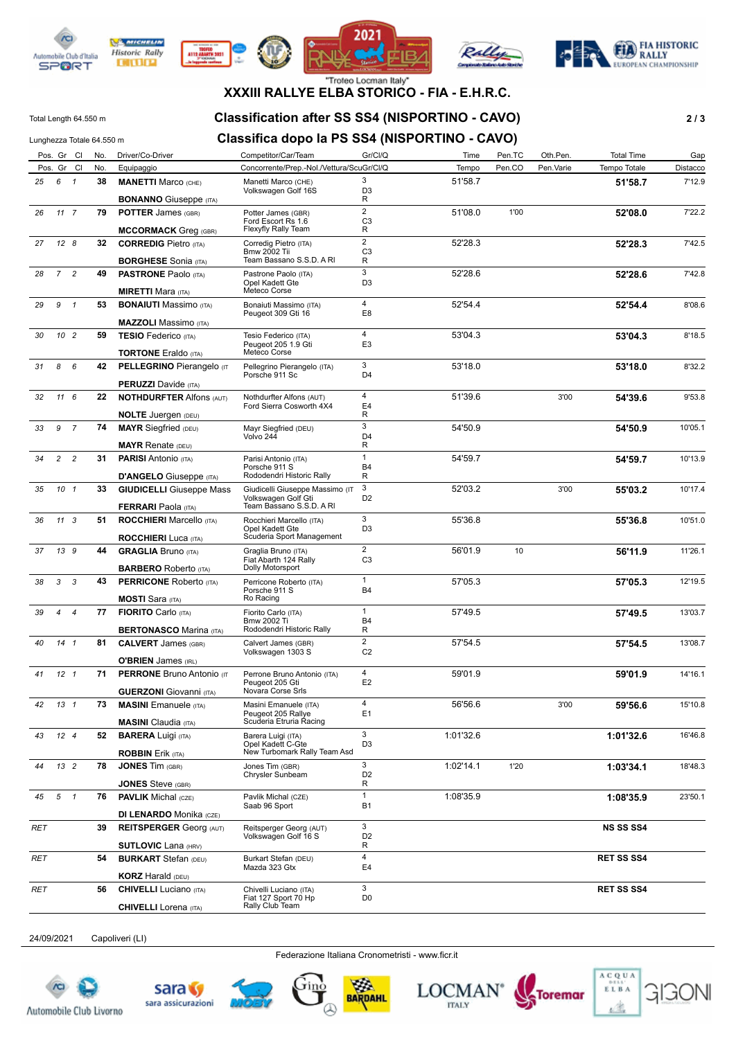

**DITURN** 









#### "Troteo Locman Italy" **XXXIII RALLYE ELBA STORICO - FIA - E.H.R.C.**

### Total Length 64.550 m **Classification after SS SS4 (NISPORTINO - CAVO) 2 / 3**

#### Lunghezza Totale 64.550 m **Classifica dopo la PS SS4 (NISPORTINO - CAVO)**

|     |                | Pos. Gr Cl      | No. | Driver/Co-Driver                                               | Competitor/Car/Team                                                                | Gr/Cl/Q                          | Time      | Pen.TC | Oth.Pen.  | <b>Total Time</b> | Gap      |
|-----|----------------|-----------------|-----|----------------------------------------------------------------|------------------------------------------------------------------------------------|----------------------------------|-----------|--------|-----------|-------------------|----------|
|     |                | Pos. Gr Cl      | No. | Equipaggio                                                     | Concorrente/Prep.-Nol./Vettura/ScuGr/Cl/Q                                          |                                  | Tempo     | Pen.CO | Pen.Varie | Tempo Totale      | Distacco |
| 25  |                | 6 1             | 38  | <b>MANETTI Marco (CHE)</b>                                     | Manetti Marco (CHE)<br>Volkswagen Golf 16S                                         | 3<br>D <sub>3</sub>              | 51'58.7   |        |           | 51'58.7           | 7'12.9   |
|     |                |                 |     | <b>BONANNO</b> Giuseppe (ITA)                                  |                                                                                    | R                                |           |        |           |                   |          |
| 26  |                | 117             | 79  | <b>POTTER James (GBR)</b>                                      | Potter James (GBR)<br>Ford Escort Rs 1.6                                           | $\overline{2}$<br>C <sub>3</sub> | 51'08.0   | 1'00   |           | 52'08.0           | 7'22.2   |
|     |                |                 |     | <b>MCCORMACK Greg (GBR)</b>                                    | Flexyfly Rally Team                                                                | R                                |           |        |           |                   |          |
| 27  |                | 128             | 32  | <b>CORREDIG Pietro (ITA)</b>                                   | Corredig Pietro (ITA)<br><b>Bmw 2002 Tii</b>                                       | $\overline{2}$<br>C <sub>3</sub> | 52'28.3   |        |           | 52'28.3           | 7'42.5   |
|     |                |                 |     | <b>BORGHESE</b> Sonia (ITA)                                    | Team Bassano S.S.D. A RI                                                           | R                                |           |        |           |                   |          |
| 28  |                | 7 <sup>2</sup>  | 49  | <b>PASTRONE</b> Paolo (ITA)                                    | Pastrone Paolo (ITA)<br>Opel Kadett Gte<br>Meteco Corse                            | 3<br>D <sub>3</sub>              | 52'28.6   |        |           | 52'28.6           | 7'42.8   |
|     |                |                 |     | <b>MIRETTI Mara (ITA)</b>                                      |                                                                                    | $\overline{4}$                   |           |        |           |                   |          |
| 29  | 9              | $\mathbf{1}$    | 53  | <b>BONAIUTI</b> Massimo (ITA)<br><b>MAZZOLI</b> Massimo (ITA)  | Bonaiuti Massimo (ITA)<br>Peugeot 309 Gti 16                                       | E <sub>8</sub>                   | 52'54.4   |        |           | 52'54.4           | 8'08.6   |
|     |                | 10 2            | 59  |                                                                |                                                                                    | $\overline{4}$                   | 53'04.3   |        |           | 53'04.3           | 8'18.5   |
| 30  |                |                 |     | <b>TESIO Federico</b> (ITA)<br><b>TORTONE</b> Eraldo (ITA)     | Tesio Federico (ITA)<br>Peugeot 205 1.9 Gti<br>Meteco Corse                        | E <sub>3</sub>                   |           |        |           |                   |          |
| 31  | 8              | 6               | 42  | <b>PELLEGRINO Pierangelo (IT</b>                               | Pellegrino Pierangelo (ITA)                                                        | 3                                | 53'18.0   |        |           | 53'18.0           | 8'32.2   |
|     |                |                 |     | <b>PERUZZI</b> Davide (ITA)                                    | Porsche 911 Sc                                                                     | D <sub>4</sub>                   |           |        |           |                   |          |
|     |                |                 | 22  | <b>NOTHDURFTER Alfons (AUT)</b>                                |                                                                                    | $\overline{4}$                   | 51'39.6   |        | 3'00      |                   | 9'53.8   |
| 32  |                | $11 \quad 6$    |     |                                                                | Nothdurfter Alfons (AUT)<br>Ford Sierra Cosworth 4X4                               | E4                               |           |        |           | 54'39.6           |          |
|     |                |                 |     | <b>NOLTE</b> Juergen (DEU)                                     |                                                                                    | R                                |           |        |           |                   |          |
| 33  | 9              | $\overline{7}$  | 74  | <b>MAYR</b> Siegfried (DEU)                                    | Mayr Siegfried (DEU)<br>Volvo 244                                                  | 3<br>D <sub>4</sub>              | 54'50.9   |        |           | 54'50.9           | 10'05.1  |
|     |                |                 |     | <b>MAYR Renate (DEU)</b>                                       |                                                                                    | R                                |           |        |           |                   |          |
| 34  | $\overline{a}$ | $\overline{c}$  | 31  | <b>PARISI</b> Antonio (ITA)                                    | Parisi Antonio (ITA)<br>Porsche 911 S                                              | $\mathbf{1}$<br><b>B4</b>        | 54'59.7   |        |           | 54'59.7           | 10'13.9  |
|     |                |                 |     | <b>D'ANGELO</b> Giuseppe (ITA)                                 | Rododendri Historic Rally                                                          | R                                |           |        |           |                   |          |
| 35  |                | 10 <sub>1</sub> | 33  | <b>GIUDICELLI</b> Giuseppe Mass                                | Giudicelli Giuseppe Massimo (IT<br>Volkswagen Golf Gti<br>Team Bassano S.S.D. A RI | 3<br>D <sub>2</sub>              | 52'03.2   |        | 3'00      | 55'03.2           | 10'17.4  |
|     |                |                 |     | <b>FERRARI</b> Paola (ITA)                                     |                                                                                    |                                  |           |        |           |                   |          |
| 36  |                | $11 \quad 3$    | 51  | <b>ROCCHIERI</b> Marcello (ITA)<br><b>ROCCHIERI</b> Luca (ITA) | Rocchieri Marcello (ITA)<br>Opel Kadett Gte<br>Scuderia Sport Management           | 3<br>D <sub>3</sub>              | 55'36.8   |        |           | 55'36.8           | 10'51.0  |
|     |                |                 | 44  | <b>GRAGLIA Bruno (ITA)</b>                                     |                                                                                    | $\overline{2}$                   | 56'01.9   | 10     |           |                   |          |
| 37  |                | 13 9            |     | <b>BARBERO</b> Roberto (ITA)                                   | Graglia Bruno (ITA)<br>Fiat Abarth 124 Rally<br>Dolly Motorsport                   | C <sub>3</sub>                   |           |        |           | 56'11.9           | 11'26.1  |
| 38  | 3              | 3               | 43  | <b>PERRICONE Roberto (ITA)</b>                                 | Perricone Roberto (ITA)                                                            | $\mathbf{1}$                     | 57'05.3   |        |           | 57'05.3           | 12'19.5  |
|     |                |                 |     | <b>MOSTI</b> Sara (ITA)                                        | Porsche 911 S<br>Ro Racing                                                         | <b>B4</b>                        |           |        |           |                   |          |
| 39  | $\overline{4}$ | $\overline{4}$  | 77  | <b>FIORITO</b> Carlo (ITA)                                     | Fiorito Carlo (ITA)                                                                | $\mathbf{1}$                     | 57'49.5   |        |           | 57'49.5           | 13'03.7  |
|     |                |                 |     |                                                                | <b>Bmw 2002 Ti</b>                                                                 | <b>B4</b>                        |           |        |           |                   |          |
|     |                |                 |     | <b>BERTONASCO Marina (ITA)</b>                                 | Rododendri Historic Rally                                                          | R                                |           |        |           |                   |          |
| 40  |                | 14 <sub>1</sub> | 81  | <b>CALVERT</b> James (GBR)                                     | Calvert James (GBR)<br>Volkswagen 1303 S                                           | $\overline{2}$<br>C <sub>2</sub> | 57'54.5   |        |           | 57'54.5           | 13'08.7  |
|     |                |                 |     | <b>O'BRIEN</b> James (IRL)                                     |                                                                                    |                                  |           |        |           |                   |          |
| 41  |                | 12 <sub>1</sub> | 71  | <b>PERRONE Bruno Antonio (IT</b>                               | Perrone Bruno Antonio (ITA)<br>Peugeot 205 Gti<br>Novara Corse Srls                | $\overline{4}$<br>E <sub>2</sub> | 59'01.9   |        |           | 59'01.9           | 14'16.1  |
|     |                |                 |     | <b>GUERZONI</b> Giovanni (ITA)                                 |                                                                                    |                                  |           |        |           |                   |          |
| 42  |                | 13 1            | 73  | <b>MASINI</b> Emanuele (ITA)<br><b>MASINI</b> Claudia (ITA)    | Masini Emanuele (ITA)<br>Peugeot 205 Rallye<br>Scuderia Etruria Racing             | 4<br>E <sub>1</sub>              | 56'56.6   |        | 3'00      | 59'56.6           | 15'10.8  |
| 43  |                | 12 <sub>4</sub> | 52  | <b>BARERA Luigi (ITA)</b>                                      | Barera Luigi (ITA)                                                                 | 3                                | 1:01'32.6 |        |           | 1:01'32.6         | 16'46.8  |
|     |                |                 |     | <b>ROBBIN Erik (ITA)</b>                                       | Opel Kadett C-Gte<br>New Turbomark Rally Team Asd                                  | D <sub>3</sub>                   |           |        |           |                   |          |
| 44  |                | 13 <sup>2</sup> | 78  | <b>JONES Tim (GBR)</b>                                         | Jones Tim (GBR)                                                                    | 3                                | 1:02'14.1 | 1'20   |           | 1:03'34.1         | 18'48.3  |
|     |                |                 |     | <b>JONES</b> Steve (GBR)                                       | Chrysler Sunbeam                                                                   | D <sub>2</sub><br>R              |           |        |           |                   |          |
| 45  |                | $5 \quad 1$     | 76  | <b>PAVLIK</b> Michal (CZE)                                     | Pavlik Michal (CZE)                                                                | $\mathbf{1}$                     | 1:08'35.9 |        |           | 1:08'35.9         | 23'50.1  |
|     |                |                 |     |                                                                | Saab 96 Sport                                                                      | B <sub>1</sub>                   |           |        |           |                   |          |
|     |                |                 | 39  | <b>DI LENARDO Monika (CZE)</b>                                 | Reitsperger Georg (AUT)                                                            | 3                                |           |        |           | <b>NS SS SS4</b>  |          |
| RET |                |                 |     | <b>REITSPERGER Georg (AUT)</b><br><b>SUTLOVIC Lana (HRV)</b>   | Volkswagen Golf 16 S                                                               | D <sub>2</sub><br>R              |           |        |           |                   |          |
|     |                |                 |     |                                                                |                                                                                    | $\overline{4}$                   |           |        |           | <b>RET SS SS4</b> |          |
| RET |                |                 | 54  | <b>BURKART</b> Stefan (DEU)                                    | Burkart Stefan (DEU)<br>Mazda 323 Gtx                                              | E <sub>4</sub>                   |           |        |           |                   |          |
|     |                |                 | 56  | <b>KORZ</b> Harald (DEU)                                       |                                                                                    | 3                                |           |        |           | <b>RET SS SS4</b> |          |
| RET |                |                 |     | <b>CHIVELLI</b> Luciano (ITA)<br><b>CHIVELLI</b> Lorena (ITA)  | Chivelli Luciano (ITA)<br>Fiat 127 Sport 70 Hp<br>Rally Club Team                  | D <sub>0</sub>                   |           |        |           |                   |          |

24/09/2021 Capoliveri (LI)

Federazione Italiana Cronometristi - www.ficr.it